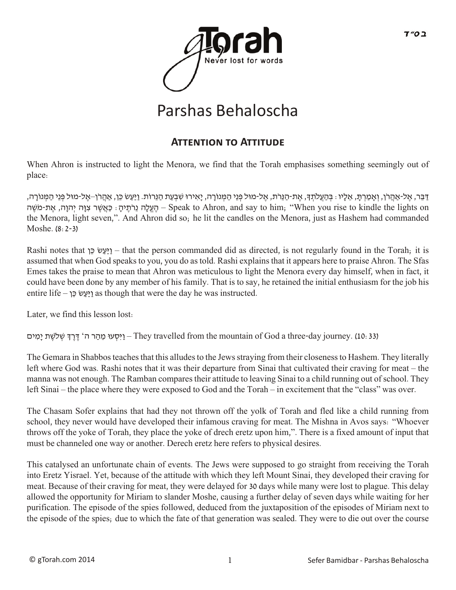

# Parshas Behaloscha

### **Attention to Attitude**

When Ahron is instructed to light the Menora, we find that the Torah emphasises something seemingly out of place:

ַדְּבֶר, אֱל-אַהֲרֹן, וְאַמַרְתָּ, אֱלָיו : בְּהַעֲלֹתְךָּ, אֶת-הַנֵּרֹת, אֱל-מוּל פְּנֵי הַמְּנוֹרָה, יַאִירוּ שִׁבְעַת הַנֵּרוֹת. וַיַּעַשׂ כֵּן, אֲהֲרֹן–אֱל-מוּל פְּנֵי הַמְּנוֹרָה, הַעֱלָה נֵרֹתֵיהָ: כַּאֲשֶׁר צְוָה יְהוַה, אֶת-מֹּשֶׁה – Speak to Ahron, and say to him; "When you rise to kindle the lights on the Menora, light seven,". And Ahron did so; he lit the candles on the Menora, just as Hashem had commanded Moshe. (8:2-3)

Rashi notes that  $\epsilon$   $\epsilon$   $\epsilon$  – that the person commanded did as directed, is not regularly found in the Torah; it is assumed that when God speaks to you, you do as told. Rashi explains that it appears here to praise Ahron. The Sfas Emes takes the praise to mean that Ahron was meticulous to light the Menora every day himself, when in fact, it could have been done by any member of his family. That is to say, he retained the initial enthusiasm for the job his entire life – וַיַּעֲשׂ כֵּן as though that were the day he was instructed.

Later, we find this lesson lost:

יקט -They travelled from the mountain of God a three-day journey. (10: 33) – וַיִּסְעוּ מֵהַר ה' דֶּרֶדְּ שְׁלֹשֶׁת יָמִים

The Gemara in Shabbos teaches that this alludes to the Jews straying from their closeness to Hashem. They literally left where God was. Rashi notes that it was their departure from Sinai that cultivated their craving for meat – the manna was not enough. The Ramban compares their attitude to leaving Sinai to a child running out of school. They left Sinai – the place where they were exposed to God and the Torah – in excitement that the "class" was over.

The Chasam Sofer explains that had they not thrown off the yolk of Torah and fled like a child running from school, they never would have developed their infamous craving for meat. The Mishna in Avos says: "Whoever throws off the yoke of Torah, they place the yoke of drech eretz upon him,". There is a fixed amount of input that must be channeled one way or another. Derech eretz here refers to physical desires.

This catalysed an unfortunate chain of events. The Jews were supposed to go straight from receiving the Torah into Eretz Yisrael. Yet, because of the attitude with which they left Mount Sinai, they developed their craving for meat. Because of their craving for meat, they were delayed for 30 days while many were lost to plague. This delay allowed the opportunity for Miriam to slander Moshe, causing a further delay of seven days while waiting for her purification. The episode of the spies followed, deduced from the juxtaposition of the episodes of Miriam next to the episode of the spies; due to which the fate of that generation was sealed. They were to die out over the course

ב ס״ד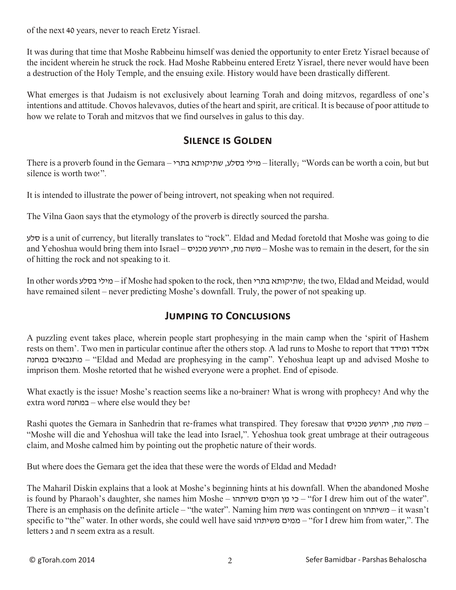of the next 40 years, never to reach Eretz Yisrael.

It was during that time that Moshe Rabbeinu himself was denied the opportunity to enter Eretz Yisrael because of the incident wherein he struck the rock. Had Moshe Rabbeinu entered Eretz Yisrael, there never would have been a destruction of the Holy Temple, and the ensuing exile. History would have been drastically different.

What emerges is that Judaism is not exclusively about learning Torah and doing mitzvos, regardless of one's intentions and attitude. Chovos halevavos, duties of the heart and spirit, are critical. It is because of poor attitude to how we relate to Torah and mitzvos that we find ourselves in galus to this day.

#### **Silence is Golden**

There is a proverb found in the Gemara – מילי בסלע, שתיקותא בתרי – literally; "Words can be worth a coin, but but silence is worth two!".

It is intended to illustrate the power of being introvert, not speaking when not required.

The Vilna Gaon says that the etymology of the proverb is directly sourced the parsha.

סלע is a unit of currency, but literally translates to "rock". Eldad and Medad foretold that Moshe was going to die and Yehoshua would bring them into Israel – משה מת, יהושע מכניס – Moshe was to remain in the desert, for the sin of hitting the rock and not speaking to it.

In other words בסלע מילי – if Moshe had spoken to the rock, then בתרי שתיקותא ;the two, Eldad and Meidad, would have remained silent – never predicting Moshe's downfall. Truly, the power of not speaking up.

#### **Jumping to Conclusions**

A puzzling event takes place, wherein people start prophesying in the main camp when the 'spirit of Hashem rests on them'. Two men in particular continue after the others stop. A lad runs to Moshe to report that ומידד אלדד במחנה מתנבאים" – Eldad and Medad are prophesying in the camp". Yehoshua leapt up and advised Moshe to imprison them. Moshe retorted that he wished everyone were a prophet. End of episode.

What exactly is the issue? Moshe's reaction seems like a no-brainer? What is wrong with prophecy? And why the extra word במחנה – where else would they be?

Rashi quotes the Gemara in Sanhedrin that re-frames what transpired. They foresaw that  $\sim$ המשה מת, יהושע מכניס "Moshe will die and Yehoshua will take the lead into Israel,". Yehoshua took great umbrage at their outrageous claim, and Moshe calmed him by pointing out the prophetic nature of their words.

But where does the Gemara get the idea that these were the words of Eldad and Medad?

The Maharil Diskin explains that a look at Moshe's beginning hints at his downfall. When the abandoned Moshe is found by Pharaoh's daughter, she names him Moshe – משיתהו המים מן כי" – for I drew him out of the water". There is an emphasis on the definite article – "the water". Naming him משה was contingent on משיתהו – it wasn't specific to "the" water. In other words, she could well have said ממים משיתהו – "for I drew him from water,". The letters נ and ה seem extra as a result.